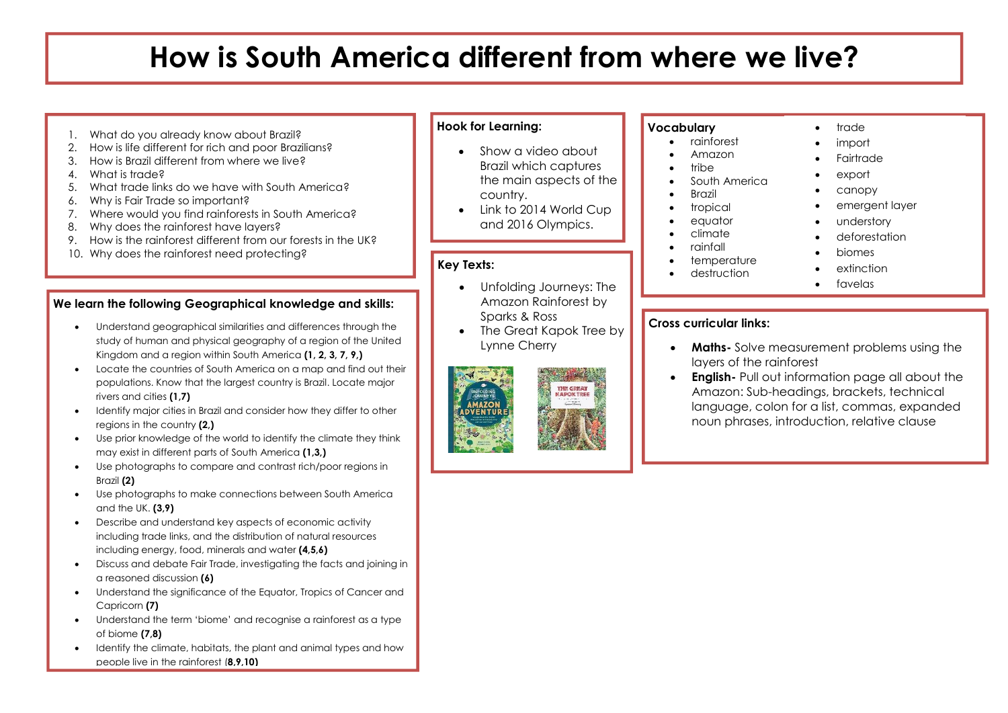# **How is South America different from where we live?**

- 1. What do you already know about Brazil?
- 2. How is life different for rich and poor Brazilians?
- 3. How is Brazil different from where we live?
- 4. What is trade?
- 5. What trade links do we have with South America?
- 6. Why is Fair Trade so important?
- 7. Where would you find rainforests in South America?
- 8. Why does the rainforest have layers?
- 9. How is the rainforest different from our forests in the UK?
- 10. Why does the rainforest need protecting?

# **We learn the following Geographical knowledge and skills:**

- Understand geographical similarities and differences through the study of human and physical geography of a region of the United Kingdom and a region within South America **(1, 2, 3, 7, 9,)**
- Locate the countries of South America on a map and find out their populations. Know that the largest country is Brazil. Locate major rivers and cities **(1,7)**
- Identify major cities in Brazil and consider how they differ to other regions in the country **(2,)**
- Use prior knowledge of the world to identify the climate they think may exist in different parts of South America **(1,3,)**
- Use photographs to compare and contrast rich/poor regions in Brazil **(2)**
- Use photographs to make connections between South America and the UK. **(3,9)**
- Describe and understand key aspects of economic activity including trade links, and the distribution of natural resources including energy, food, minerals and water **(4,5,6)**
- Discuss and debate Fair Trade, investigating the facts and joining in a reasoned discussion **(6)**
- Understand the significance of the Equator, Tropics of Cancer and Capricorn **(7)**
- Understand the term 'biome' and recognise a rainforest as a type of biome **(7,8)**
- Identify the climate, habitats, the plant and animal types and how people live in the rainforest (**8,9,10)**

# **Hook for Learning:**

- Show a video about Brazil which captures the main aspects of the country.
- Link to 2014 World Cup and 2016 Olympics.

# **Key Texts:**

- Unfolding Journeys: The Amazon Rainforest by Sparks & Ross
- The Great Kapok Tree by Lynne Cherry



# **Vocabulary**

### • rainforest

• Amazon

#### • tribe

- South America
- **Brazil**
- tropical • equator
- climate
- rainfall
- temperature
- destruction

# • trade

- import
- **Fairtrade**
- export
- canopy
- emergent layer
- understory
- deforestation
- biomes
- extinction
- favelas

# **Cross curricular links:**

• **Maths-** Solve measurement problems using the layers of the rainforest

•

• **English-** Pull out information page all about the Amazon: Sub-headings, brackets, technical language, colon for a list, commas, expanded noun phrases, introduction, relative clause